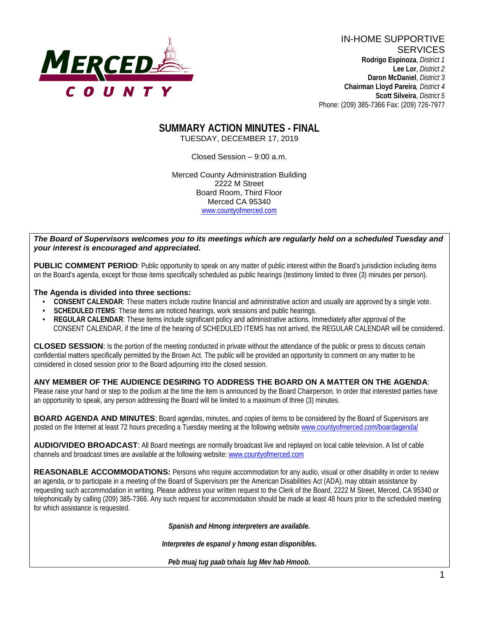

IN-HOME SUPPORTIVE **SERVICES Rodrigo Espinoza**, *District 1*  **Lee Lor**, *District 2*  **Daron McDaniel**, *District 3* **Chairman Lloyd Pareira***, District 4*  **Scott Silveira**, *District 5* Phone: (209) 385-7366 Fax: (209) 726-7977

## **SUMMARY ACTION MINUTES - FINAL** TUESDAY, DECEMBER 17, 2019

Closed Session – 9:00 a.m.

Merced County Administration Building 2222 M Street Board Room, Third Floor Merced CA 95340 www.countyofmerced.com

### *The Board of Supervisors welcomes you to its meetings which are regularly held on a scheduled Tuesday and your interest is encouraged and appreciated.*

**PUBLIC COMMENT PERIOD**: Public opportunity to speak on any matter of public interest within the Board's jurisdiction including items on the Board's agenda, except for those items specifically scheduled as public hearings (testimony limited to three (3) minutes per person).

### **The Agenda is divided into three sections:**

- **CONSENT CALENDAR**: These matters include routine financial and administrative action and usually are approved by a single vote.
- **SCHEDULED ITEMS:** These items are noticed hearings, work sessions and public hearings.
- **REGULAR CALENDAR:** These items include significant policy and administrative actions. Immediately after approval of the CONSENT CALENDAR, if the time of the hearing of SCHEDULED ITEMS has not arrived, the REGULAR CALENDAR will be considered.

**CLOSED SESSION**: Is the portion of the meeting conducted in private without the attendance of the public or press to discuss certain confidential matters specifically permitted by the Brown Act. The public will be provided an opportunity to comment on any matter to be considered in closed session prior to the Board adjourning into the closed session.

### **ANY MEMBER OF THE AUDIENCE DESIRING TO ADDRESS THE BOARD ON A MATTER ON THE AGENDA**:

Please raise your hand or step to the podium at the time the item is announced by the Board Chairperson. In order that interested parties have an opportunity to speak, any person addressing the Board will be limited to a maximum of three (3) minutes.

**BOARD AGENDA AND MINUTES:** Board agendas, minutes, and copies of items to be considered by the Board of Supervisors are posted on the Internet at least 72 hours preceding a Tuesday meeting at the following website [www.countyofmerced.com/boardagenda/](http://www.countyofmerced.com/boardagenda/) 

**AUDIO/VIDEO BROADCAST**: All Board meetings are normally broadcast live and replayed on local cable television. A list of cable channels and broadcast times are available at the following website[: www.countyofmerced.com](http://www.countyofmerced.com/)

**REASONABLE ACCOMMODATIONS:** Persons who require accommodation for any audio, visual or other disability in order to review an agenda, or to participate in a meeting of the Board of Supervisors per the American Disabilities Act (ADA), may obtain assistance by requesting such accommodation in writing. Please address your written request to the Clerk of the Board, 2222 M Street, Merced, CA 95340 or telephonically by calling (209) 385-7366. Any such request for accommodation should be made at least 48 hours prior to the scheduled meeting for which assistance is requested.

*Spanish and Hmong interpreters are available.*

*Interpretes de espanol y hmong estan disponibles.*

*Peb muaj tug paab txhais lug Mev hab Hmoob.*